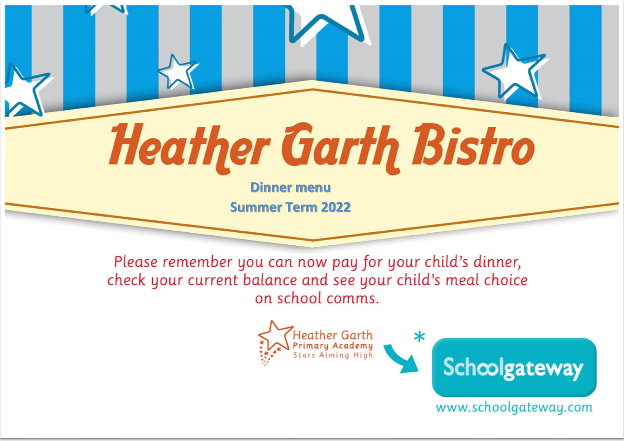## **Heather Garth Bistro**

**Dinner menu Summer Term 2022**

Please remember you can now pay for your child's dinner, check your current balance and see your child's meal choice on school comms.



www.schoolgateway.com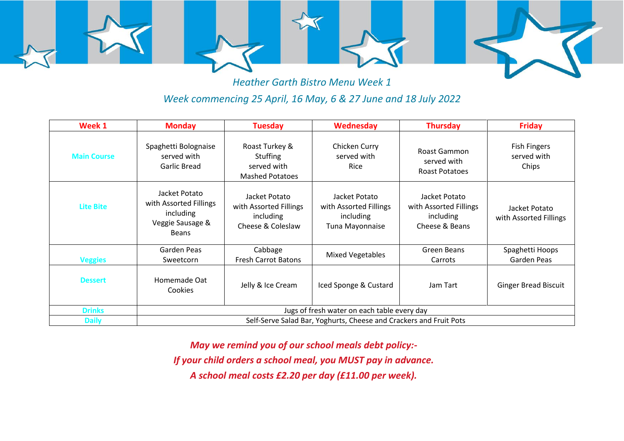

*Heather Garth Bistro Menu Week 1 Week commencing 25 April, 16 May, 6 & 27 June and 18 July 2022*

| Week 1             | <b>Monday</b>                                                                            | <b>Tuesday</b>                                                             | Wednesday                                                               | <b>Thursday</b>                                                        | <b>Friday</b>                               |  |
|--------------------|------------------------------------------------------------------------------------------|----------------------------------------------------------------------------|-------------------------------------------------------------------------|------------------------------------------------------------------------|---------------------------------------------|--|
| <b>Main Course</b> | Spaghetti Bolognaise<br>served with<br>Garlic Bread                                      | Roast Turkey &<br><b>Stuffing</b><br>served with<br><b>Mashed Potatoes</b> | Chicken Curry<br>served with<br><b>Rice</b>                             | Roast Gammon<br>served with<br><b>Roast Potatoes</b>                   | <b>Fish Fingers</b><br>served with<br>Chips |  |
| <b>Lite Bite</b>   | Jacket Potato<br>with Assorted Fillings<br>including<br>Veggie Sausage &<br><b>Beans</b> | Jacket Potato<br>with Assorted Fillings<br>including<br>Cheese & Coleslaw  | Jacket Potato<br>with Assorted Fillings<br>including<br>Tuna Mayonnaise | Jacket Potato<br>with Assorted Fillings<br>including<br>Cheese & Beans | Jacket Potato<br>with Assorted Fillings     |  |
| <b>Veggies</b>     | Garden Peas<br>Sweetcorn                                                                 | Cabbage<br><b>Fresh Carrot Batons</b>                                      | Mixed Vegetables                                                        | Green Beans<br>Carrots                                                 | Spaghetti Hoops<br>Garden Peas              |  |
| <b>Dessert</b>     | Homemade Oat<br>Cookies                                                                  | Jelly & Ice Cream                                                          | Iced Sponge & Custard                                                   | Jam Tart                                                               | <b>Ginger Bread Biscuit</b>                 |  |
| <b>Drinks</b>      | Jugs of fresh water on each table every day                                              |                                                                            |                                                                         |                                                                        |                                             |  |
| <b>Daily</b>       | Self-Serve Salad Bar, Yoghurts, Cheese and Crackers and Fruit Pots                       |                                                                            |                                                                         |                                                                        |                                             |  |

*May we remind you of our school meals debt policy:- If your child orders a school meal, you MUST pay in advance. A school meal costs £2.20 per day (£11.00 per week).*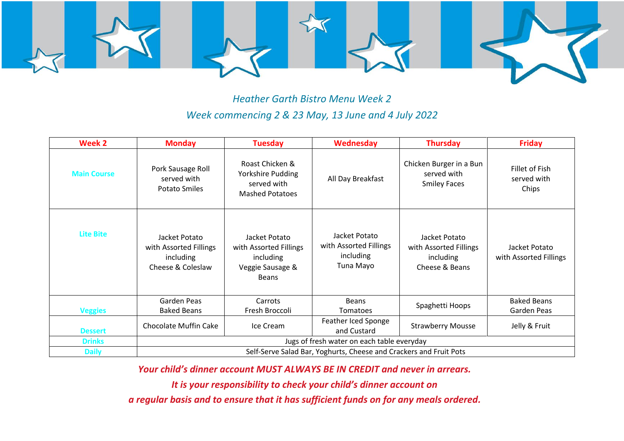

*Heather Garth Bistro Menu Week 2 Week commencing 2 & 23 May, 13 June and 4 July 2022*

| Week 2             | <b>Monday</b>                                                             | <b>Tuesday</b>                                                                           | Wednesday                                                         | <b>Thursday</b>                                                        | <b>Friday</b>                           |  |  |
|--------------------|---------------------------------------------------------------------------|------------------------------------------------------------------------------------------|-------------------------------------------------------------------|------------------------------------------------------------------------|-----------------------------------------|--|--|
| <b>Main Course</b> | Pork Sausage Roll<br>served with<br><b>Potato Smiles</b>                  | Roast Chicken &<br>Yorkshire Pudding<br>served with<br><b>Mashed Potatoes</b>            | All Day Breakfast                                                 | Chicken Burger in a Bun<br>served with<br><b>Smiley Faces</b>          | Fillet of Fish<br>served with<br>Chips  |  |  |
| <b>Lite Bite</b>   | Jacket Potato<br>with Assorted Fillings<br>including<br>Cheese & Coleslaw | Jacket Potato<br>with Assorted Fillings<br>including<br>Veggie Sausage &<br><b>Beans</b> | Jacket Potato<br>with Assorted Fillings<br>including<br>Tuna Mayo | Jacket Potato<br>with Assorted Fillings<br>including<br>Cheese & Beans | Jacket Potato<br>with Assorted Fillings |  |  |
|                    | Garden Peas                                                               | Carrots                                                                                  | Beans                                                             | Spaghetti Hoops                                                        | <b>Baked Beans</b>                      |  |  |
| <b>Veggies</b>     | <b>Baked Beans</b>                                                        | Fresh Broccoli                                                                           | Tomatoes                                                          |                                                                        | Garden Peas                             |  |  |
| <b>Dessert</b>     | <b>Chocolate Muffin Cake</b>                                              | Ice Cream                                                                                | Feather Iced Sponge<br>and Custard                                | <b>Strawberry Mousse</b>                                               | Jelly & Fruit                           |  |  |
| <b>Drinks</b>      | Jugs of fresh water on each table everyday                                |                                                                                          |                                                                   |                                                                        |                                         |  |  |
| <b>Daily</b>       | Self-Serve Salad Bar, Yoghurts, Cheese and Crackers and Fruit Pots        |                                                                                          |                                                                   |                                                                        |                                         |  |  |

*Your child's dinner account MUST ALWAYS BE IN CREDIT and never in arrears.* 

*It is your responsibility to check your child's dinner account on* 

*a regular basis and to ensure that it has sufficient funds on for any meals ordered.*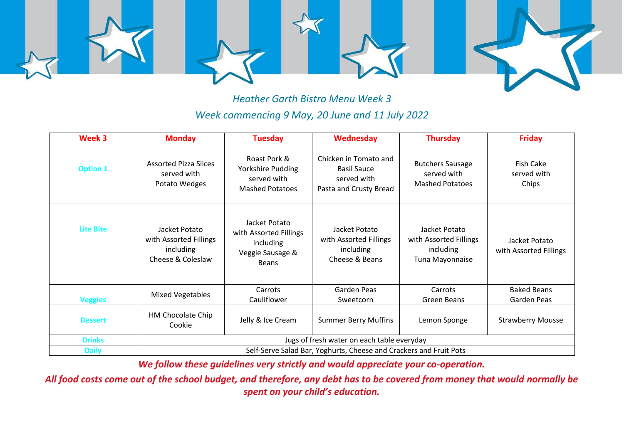

*Heather Garth Bistro Menu Week 3 Week commencing 9 May, 20 June and 11 July 2022*

| Week 3           | <b>Monday</b>                                                             | <b>Tuesday</b>                                                                           | <b>Wednesday</b>                                                                     | <b>Thursday</b>                                                         | <b>Friday</b>                            |  |
|------------------|---------------------------------------------------------------------------|------------------------------------------------------------------------------------------|--------------------------------------------------------------------------------------|-------------------------------------------------------------------------|------------------------------------------|--|
| <b>Option 1</b>  | <b>Assorted Pizza Slices</b><br>served with<br>Potato Wedges              | Roast Pork &<br>Yorkshire Pudding<br>served with<br><b>Mashed Potatoes</b>               | Chicken in Tomato and<br><b>Basil Sauce</b><br>served with<br>Pasta and Crusty Bread | <b>Butchers Sausage</b><br>served with<br><b>Mashed Potatoes</b>        | <b>Fish Cake</b><br>served with<br>Chips |  |
| <b>Lite Bite</b> | Jacket Potato<br>with Assorted Fillings<br>including<br>Cheese & Coleslaw | Jacket Potato<br>with Assorted Fillings<br>including<br>Veggie Sausage &<br><b>Beans</b> | Jacket Potato<br>with Assorted Fillings<br>including<br>Cheese & Beans               | Jacket Potato<br>with Assorted Fillings<br>including<br>Tuna Mayonnaise | Jacket Potato<br>with Assorted Fillings  |  |
| <b>Veggies</b>   | <b>Mixed Vegetables</b>                                                   | Carrots<br>Cauliflower                                                                   | Garden Peas<br>Sweetcorn                                                             | Carrots<br>Green Beans                                                  | <b>Baked Beans</b><br>Garden Peas        |  |
| <b>Dessert</b>   | HM Chocolate Chip<br>Cookie                                               | Jelly & Ice Cream                                                                        | <b>Summer Berry Muffins</b>                                                          | Lemon Sponge                                                            | <b>Strawberry Mousse</b>                 |  |
| <b>Drinks</b>    | Jugs of fresh water on each table everyday                                |                                                                                          |                                                                                      |                                                                         |                                          |  |
| <b>Daily</b>     | Self-Serve Salad Bar, Yoghurts, Cheese and Crackers and Fruit Pots        |                                                                                          |                                                                                      |                                                                         |                                          |  |

*We follow these guidelines very strictly and would appreciate your co-operation.*

*All food costs come out of the school budget, and therefore, any debt has to be covered from money that would normally be spent on your child's education.*